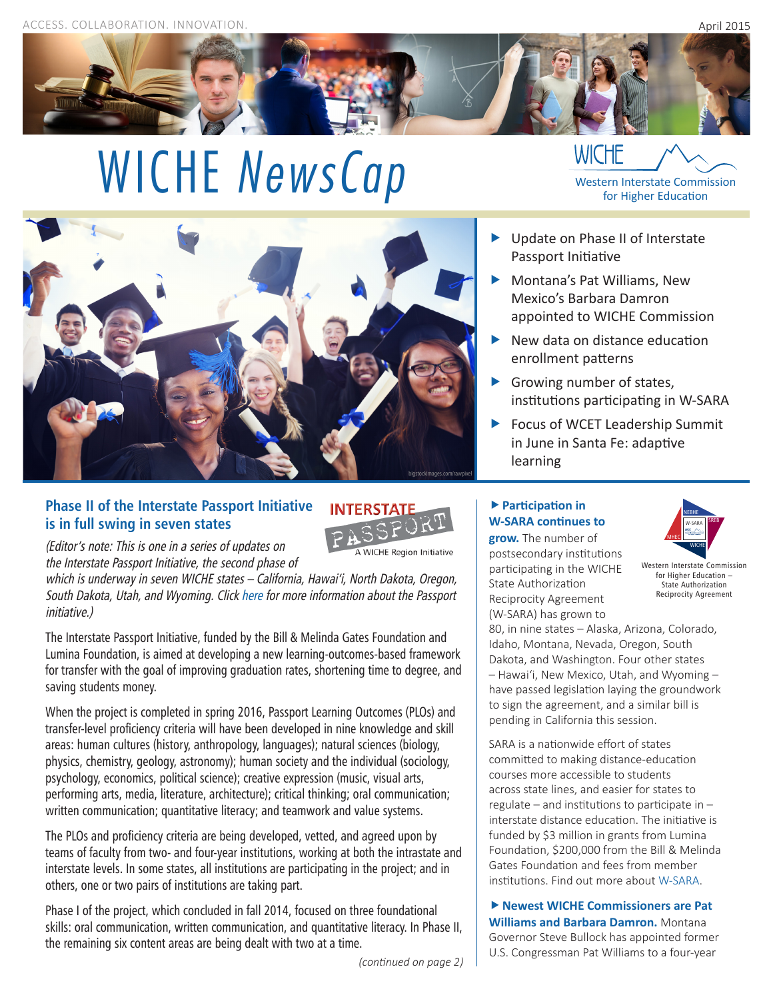

# WICHE *NewsCap* WICHE **MEXANUSCAP** WICHE **WICHE WICHE WISCO**



## **Phase II of the Interstate Passport Initiative is in full swing in seven states**



(Editor's note: This is one in a series of updates on the Interstate Passport Initiative, the second phase of

which is underway in seven WICHE states – California, Hawai'i, North Dakota, Oregon, South Dakota, Utah, and Wyoming. Click [here](http://www.wiche.edu/passport) for more information about the Passport initiative.)

The Interstate Passport Initiative, funded by the Bill & Melinda Gates Foundation and Lumina Foundation, is aimed at developing a new learning-outcomes-based framework for transfer with the goal of improving graduation rates, shortening time to degree, and saving students money.

When the project is completed in spring 2016, Passport Learning Outcomes (PLOs) and transfer-level proficiency criteria will have been developed in nine knowledge and skill areas: human cultures (history, anthropology, languages); natural sciences (biology, physics, chemistry, geology, astronomy); human society and the individual (sociology, psychology, economics, political science); creative expression (music, visual arts, performing arts, media, literature, architecture); critical thinking; oral communication; written communication; quantitative literacy; and teamwork and value systems.

The PLOs and proficiency criteria are being developed, vetted, and agreed upon by teams of faculty from two- and four-year institutions, working at both the intrastate and interstate levels. In some states, all institutions are participating in the project; and in others, one or two pairs of institutions are taking part.

Phase I of the project, which concluded in fall 2014, focused on three foundational skills: oral communication, written communication, and quantitative literacy. In Phase II, the remaining six content areas are being dealt with two at a time.

*(continued on page 2)*

- ▶ Update on Phase II of Interstate Passport Initiative
- Montana's Pat Williams, New Mexico's Barbara Damron appointed to WICHE Commission
- New data on distance education enrollment patterns
- Growing number of states, institutions participating in W-SARA
- ▶ Focus of WCET Leadership Summit in June in Santa Fe: adaptive learning

# **Participation in W-SARA continues to**

**grow.** The number of postsecondary institutions participating in the WICHE State Authorization Reciprocity Agreement (W-SARA) has grown to



Western Interstate Commission for Higher Education – State Authorization Reciprocity Agreement

80, in nine states – Alaska, Arizona, Colorado, Idaho, Montana, Nevada, Oregon, South Dakota, and Washington. Four other states – Hawai'i, New Mexico, Utah, and Wyoming – have passed legislation laying the groundwork to sign the agreement, and a similar bill is pending in California this session.

SARA is a nationwide effort of states committed to making distance-education courses more accessible to students across state lines, and easier for states to regulate – and institutions to participate in – interstate distance education. The initiative is funded by \$3 million in grants from Lumina Foundation, \$200,000 from the Bill & Melinda Gates Foundation and fees from member institutions. Find out more about [W-SARA](http://www.wiche.edu/SARA).

**Newest WICHE Commissioners are Pat Williams and Barbara Damron.** Montana Governor Steve Bullock has appointed former U.S. Congressman Pat Williams to a four-year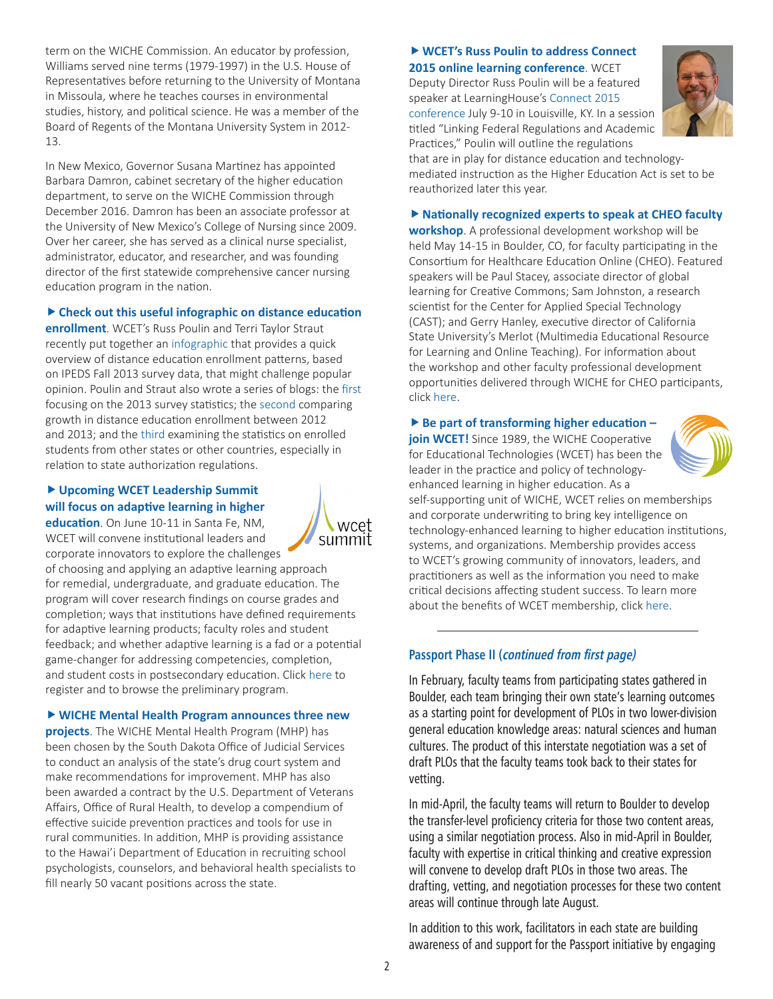term on the WICHE Commission. An educator by profession, Williams served nine terms (1979-1997) in the U.S. House of Representatives before returning to the University of Montana in Missoula, where he teaches courses in environmental studies, history, and political science. He was a member of the Board of Regents of the Montana University System in 2012- 13.

In New Mexico, Governor Susana Martinez has appointed Barbara Damron, cabinet secretary of the higher education department, to serve on the WICHE Commission through December 2016. Damron has been an associate professor at the University of New Mexico's College of Nursing since 2009. Over her career, she has served as a clinical nurse specialist, administrator, educator, and researcher, and was founding director of the first statewide comprehensive cancer nursing education program in the nation.

#### **Check out this useful infographic on distance education**

**enrollment**. WCET's Russ Poulin and Terri Taylor Straut recently put together an [infographic](http://wcet.wiche.edu/learn/busting-the-myth-distance-education) that provides a quick overview of distance education enrollment patterns, based on IPEDS Fall 2013 survey data, that might challenge popular opinion. Poulin and Straut also wrote a series of blogs: the [first](https://wcetblog.wordpress.com/2015/03/05/ipedssectors/) focusing on the 2013 survey statistics; the [second](https://wcetblog.wordpress.com/2015/03/10/ipedsenrollments/) comparing growth in distance education enrollment between 2012 and 2013; and the [third](https://wcetblog.wordpress.com/2015/03/12/ipedsstateenrollments/) examining the statistics on enrolled students from other states or other countries, especially in relation to state authorization regulations.

#### **Upcoming WCET Leadership Summit will focus on adaptive learning in higher**

**education**. On June 10-11 in Santa Fe, NM, WCET will convene institutional leaders and corporate innovators to explore the challenges

wcet summit

of choosing and applying an adaptive learning approach for remedial, undergraduate, and graduate education. The program will cover research findings on course grades and completion; ways that institutions have defined requirements for adaptive learning products; faculty roles and student feedback; and whether adaptive learning is a fad or a potential game-changer for addressing competencies, completion, and student costs in postsecondary education. Click [here](http://wcet.wiche.edu/connect/2015-adaptive-learning-summit) to register and to browse the preliminary program.

**WICHE Mental Health Program announces three new** 

**projects**. The WICHE Mental Health Program (MHP) has been chosen by the South Dakota Office of Judicial Services to conduct an analysis of the state's drug court system and make recommendations for improvement. MHP has also been awarded a contract by the U.S. Department of Veterans Affairs, Office of Rural Health, to develop a compendium of effective suicide prevention practices and tools for use in rural communities. In addition, MHP is providing assistance to the Hawai'i Department of Education in recruiting school psychologists, counselors, and behavioral health specialists to fill nearly 50 vacant positions across the state.

## **WCET's Russ Poulin to address Connect 2015 online learning conference**. WCET

Deputy Director Russ Poulin will be a featured speaker at LearningHouse's [Connect 2015](http://www.learninghouse.com/connect2015)  [conference](http://www.learninghouse.com/connect2015) July 9-10 in Louisville, KY. In a session titled "Linking Federal Regulations and Academic Practices," Poulin will outline the regulations



that are in play for distance education and technologymediated instruction as the Higher Education Act is set to be reauthorized later this year.

**Nationally recognized experts to speak at CHEO faculty workshop**. A professional development workshop will be held May 14-15 in Boulder, CO, for faculty participating in the Consortium for Healthcare Education Online (CHEO). Featured speakers will be Paul Stacey, associate director of global learning for Creative Commons; Sam Johnston, a research scientist for the Center for Applied Special Technology (CAST); and Gerry Hanley, executive director of California State University's Merlot (Multimedia Educational Resource for Learning and Online Teaching). For information about the workshop and other faculty professional development opportunities delivered through WICHE for CHEO participants, click [here.](http://www.wiche.edu/nanslo/initiatives-projects/current-initiatives/cheo/cheo-faculty-pd)

#### ▶ Be part of transforming higher education -

**join WCET!** Since 1989, the WICHE Cooperative for Educational Technologies (WCET) has been the leader in the practice and policy of technology-



enhanced learning in higher education. As a self-supporting unit of WICHE, WCET relies on memberships and corporate underwriting to bring key intelligence on technology-enhanced learning to higher education institutions, systems, and organizations. Membership provides access to WCET's growing community of innovators, leaders, and practitioners as well as the information you need to make critical decisions affecting student success. To learn more about the benefits of WCET membership, click [here](http://wcet.wiche.edu/contact-us/join-wcet).

### **Passport Phase II (continued from first page)**

In February, faculty teams from participating states gathered in Boulder, each team bringing their own state's learning outcomes as a starting point for development of PLOs in two lower-division general education knowledge areas: natural sciences and human cultures. The product of this interstate negotiation was a set of draft PLOs that the faculty teams took back to their states for vetting.

In mid-April, the faculty teams will return to Boulder to develop the transfer-level proficiency criteria for those two content areas, using a similar negotiation process. Also in mid-April in Boulder, faculty with expertise in critical thinking and creative expression will convene to develop draft PLOs in those two areas. The drafting, vetting, and negotiation processes for these two content areas will continue through late August.

In addition to this work, facilitators in each state are building awareness of and support for the Passport initiative by engaging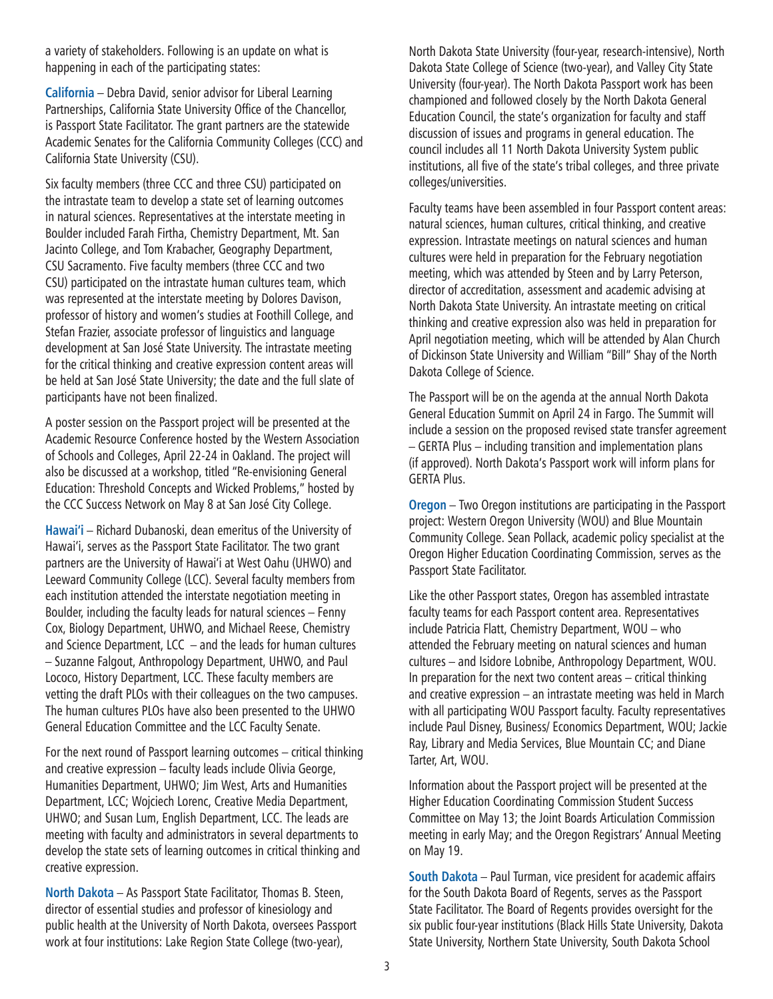a variety of stakeholders. Following is an update on what is happening in each of the participating states:

**California** – Debra David, senior advisor for Liberal Learning Partnerships, California State University Office of the Chancellor, is Passport State Facilitator. The grant partners are the statewide Academic Senates for the California Community Colleges (CCC) and California State University (CSU).

Six faculty members (three CCC and three CSU) participated on the intrastate team to develop a state set of learning outcomes in natural sciences. Representatives at the interstate meeting in Boulder included Farah Firtha, Chemistry Department, Mt. San Jacinto College, and Tom Krabacher, Geography Department, CSU Sacramento. Five faculty members (three CCC and two CSU) participated on the intrastate human cultures team, which was represented at the interstate meeting by Dolores Davison, professor of history and women's studies at Foothill College, and Stefan Frazier, associate professor of linguistics and language development at San José State University. The intrastate meeting for the critical thinking and creative expression content areas will be held at San José State University; the date and the full slate of participants have not been finalized.

A poster session on the Passport project will be presented at the Academic Resource Conference hosted by the Western Association of Schools and Colleges, April 22-24 in Oakland. The project will also be discussed at a workshop, titled "Re-envisioning General Education: Threshold Concepts and Wicked Problems," hosted by the CCC Success Network on May 8 at San José City College.

**Hawai'i** – Richard Dubanoski, dean emeritus of the University of Hawai'i, serves as the Passport State Facilitator. The two grant partners are the University of Hawai'i at West Oahu (UHWO) and Leeward Community College (LCC). Several faculty members from each institution attended the interstate negotiation meeting in Boulder, including the faculty leads for natural sciences – Fenny Cox, Biology Department, UHWO, and Michael Reese, Chemistry and Science Department, LCC – and the leads for human cultures – Suzanne Falgout, Anthropology Department, UHWO, and Paul Lococo, History Department, LCC. These faculty members are vetting the draft PLOs with their colleagues on the two campuses. The human cultures PLOs have also been presented to the UHWO General Education Committee and the LCC Faculty Senate.

For the next round of Passport learning outcomes – critical thinking and creative expression – faculty leads include Olivia George, Humanities Department, UHWO; Jim West, Arts and Humanities Department, LCC; Wojciech Lorenc, Creative Media Department, UHWO; and Susan Lum, English Department, LCC. The leads are meeting with faculty and administrators in several departments to develop the state sets of learning outcomes in critical thinking and creative expression.

**North Dakota** – As Passport State Facilitator, Thomas B. Steen, director of essential studies and professor of kinesiology and public health at the University of North Dakota, oversees Passport work at four institutions: Lake Region State College (two-year),

North Dakota State University (four-year, research-intensive), North Dakota State College of Science (two-year), and Valley City State University (four-year). The North Dakota Passport work has been championed and followed closely by the North Dakota General Education Council, the state's organization for faculty and staff discussion of issues and programs in general education. The council includes all 11 North Dakota University System public institutions, all five of the state's tribal colleges, and three private colleges/universities.

Faculty teams have been assembled in four Passport content areas: natural sciences, human cultures, critical thinking, and creative expression. Intrastate meetings on natural sciences and human cultures were held in preparation for the February negotiation meeting, which was attended by Steen and by Larry Peterson, director of accreditation, assessment and academic advising at North Dakota State University. An intrastate meeting on critical thinking and creative expression also was held in preparation for April negotiation meeting, which will be attended by Alan Church of Dickinson State University and William "Bill" Shay of the North Dakota College of Science.

The Passport will be on the agenda at the annual North Dakota General Education Summit on April 24 in Fargo. The Summit will include a session on the proposed revised state transfer agreement – GERTA Plus – including transition and implementation plans (if approved). North Dakota's Passport work will inform plans for GERTA Plus.

**Oregon** – Two Oregon institutions are participating in the Passport project: Western Oregon University (WOU) and Blue Mountain Community College. Sean Pollack, academic policy specialist at the Oregon Higher Education Coordinating Commission, serves as the Passport State Facilitator.

Like the other Passport states, Oregon has assembled intrastate faculty teams for each Passport content area. Representatives include Patricia Flatt, Chemistry Department, WOU – who attended the February meeting on natural sciences and human cultures – and Isidore Lobnibe, Anthropology Department, WOU. In preparation for the next two content areas – critical thinking and creative expression – an intrastate meeting was held in March with all participating WOU Passport faculty. Faculty representatives include Paul Disney, Business/ Economics Department, WOU; Jackie Ray, Library and Media Services, Blue Mountain CC; and Diane Tarter, Art, WOU.

Information about the Passport project will be presented at the Higher Education Coordinating Commission Student Success Committee on May 13; the Joint Boards Articulation Commission meeting in early May; and the Oregon Registrars' Annual Meeting on May 19.

**South Dakota** – Paul Turman, vice president for academic affairs for the South Dakota Board of Regents, serves as the Passport State Facilitator. The Board of Regents provides oversight for the six public four-year institutions (Black Hills State University, Dakota State University, Northern State University, South Dakota School